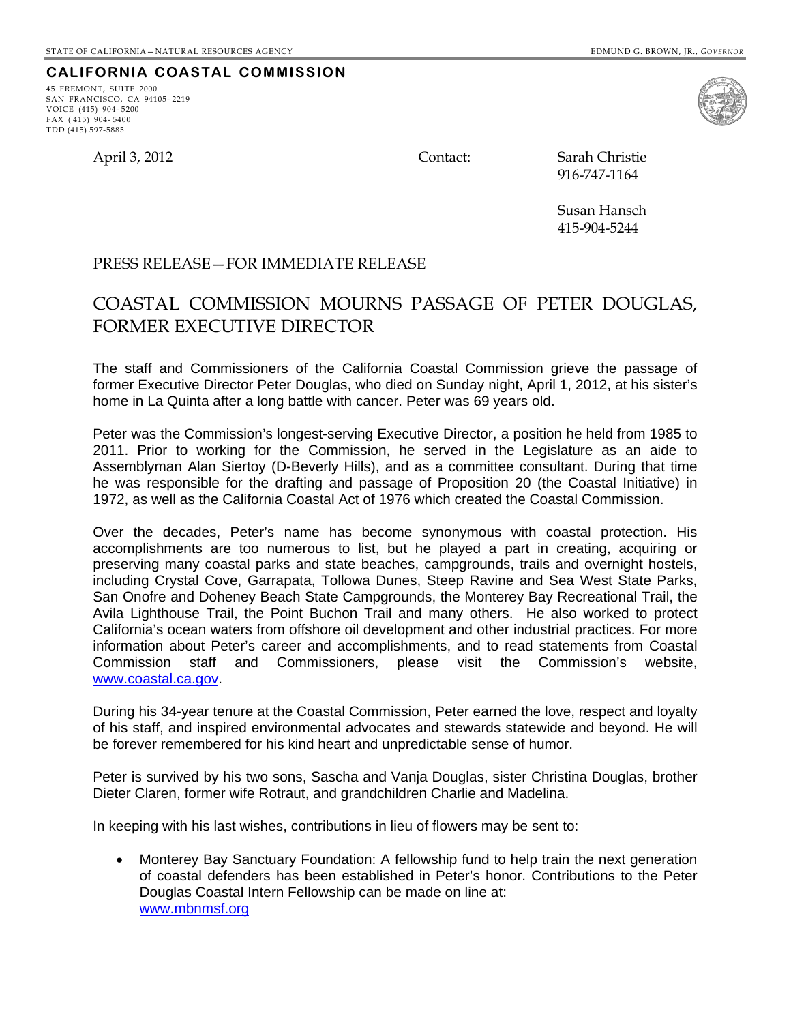**CALIFORNIA COASTAL COMMISSION**

April 3, 2012 Contact: Sarah Christie

45 FREMONT, SUITE 2000 SAN FRANCISCO, CA 94105- 2219

VOICE (415) 904- 5200 FAX ( 415) 904- 5400 TDD (415) 597-5885

916-747-1164

Susan Hansch 415-904-5244

## PRESS RELEASE—FOR IMMEDIATE RELEASE

## COASTAL COMMISSION MOURNS PASSAGE OF PETER DOUGLAS, FORMER EXECUTIVE DIRECTOR

The staff and Commissioners of the California Coastal Commission grieve the passage of former Executive Director Peter Douglas, who died on Sunday night, April 1, 2012, at his sister's home in La Quinta after a long battle with cancer. Peter was 69 years old.

Peter was the Commission's longest-serving Executive Director, a position he held from 1985 to 2011. Prior to working for the Commission, he served in the Legislature as an aide to Assemblyman Alan Siertoy (D-Beverly Hills), and as a committee consultant. During that time he was responsible for the drafting and passage of Proposition 20 (the Coastal Initiative) in 1972, as well as the California Coastal Act of 1976 which created the Coastal Commission.

Over the decades, Peter's name has become synonymous with coastal protection. His accomplishments are too numerous to list, but he played a part in creating, acquiring or preserving many coastal parks and state beaches, campgrounds, trails and overnight hostels, including Crystal Cove, Garrapata, Tollowa Dunes, Steep Ravine and Sea West State Parks, San Onofre and Doheney Beach State Campgrounds, the Monterey Bay Recreational Trail, the Avila Lighthouse Trail, the Point Buchon Trail and many others. He also worked to protect California's ocean waters from offshore oil development and other industrial practices. For more information about Peter's career and accomplishments, and to read statements from Coastal Commission staff and Commissioners, please visit the Commission's website, www.coastal.ca.gov.

During his 34-year tenure at the Coastal Commission, Peter earned the love, respect and loyalty of his staff, and inspired environmental advocates and stewards statewide and beyond. He will be forever remembered for his kind heart and unpredictable sense of humor.

Peter is survived by his two sons, Sascha and Vanja Douglas, sister Christina Douglas, brother Dieter Claren, former wife Rotraut, and grandchildren Charlie and Madelina.

In keeping with his last wishes, contributions in lieu of flowers may be sent to:

 Monterey Bay Sanctuary Foundation: A fellowship fund to help train the next generation of coastal defenders has been established in Peter's honor. Contributions to the Peter Douglas Coastal Intern Fellowship can be made on line at: www.mbnmsf.org